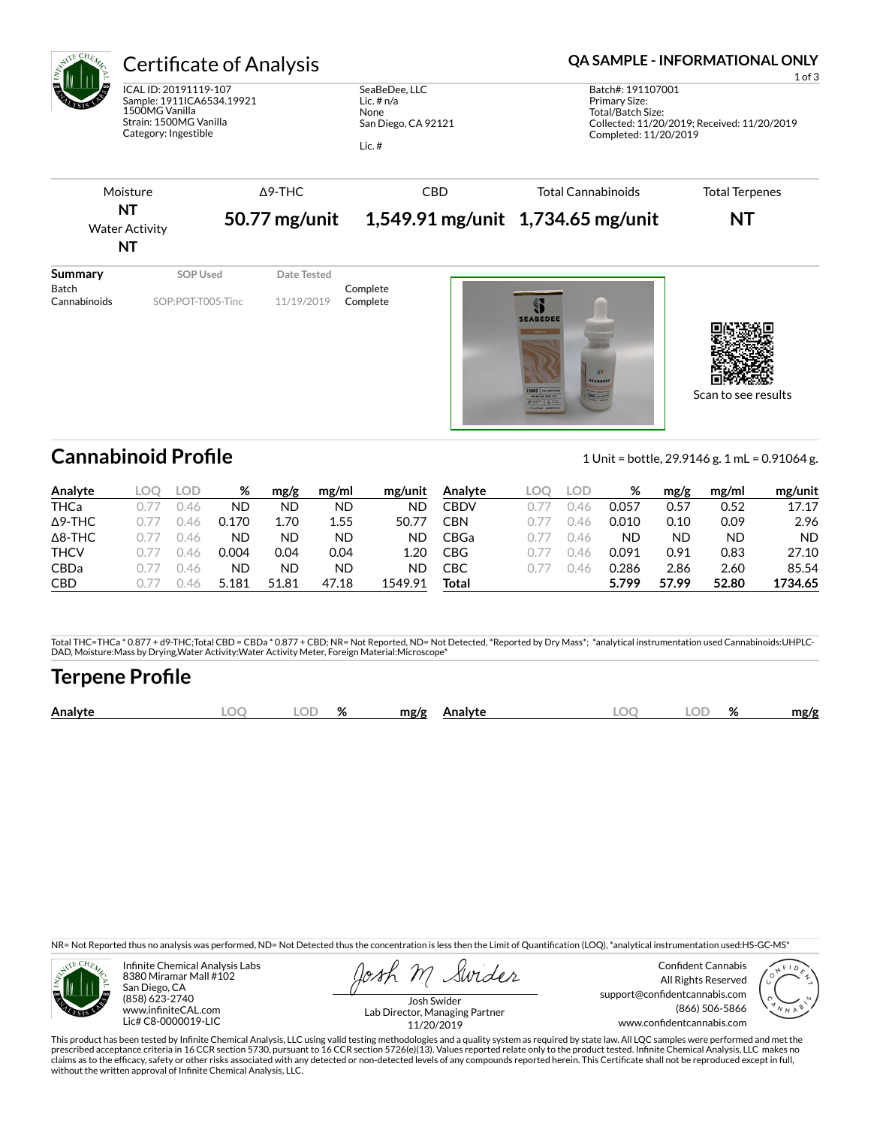

# Certificate of Analysis **Certificate of Analysis QA SAMPLE - INFORMATIONAL ONLY**

ICAL ID: 20191119-107 Sample: 1911ICA6534.19921 1500MG Vanilla Strain: 1500MG Vanilla Category: Ingestible

SeaBeDee, LLC Lic. # n/a None San Diego, CA 92121

Lic. #

1 of 3 Batch#: 191107001 Primary Size: Total/Batch Size: Collected: 11/20/2019; Received: 11/20/2019 Completed: 11/20/2019



Cannabinoid Profile **Cannabinoid Profile** 1 Unit = bottle, 29.9146 g. 1 mL = 0.91064 g.

Scan to see results

| Analyte        | LOD | %     | mg/g  | mg/ml | mg/unit | Analyte    | LOO | LOD. | %     | mg/g  | mg/ml | mg/unit |
|----------------|-----|-------|-------|-------|---------|------------|-----|------|-------|-------|-------|---------|
| <b>THCa</b>    | 46  | ND    | ND    | ND    | ND      | CBDV       |     | .46  | 0.057 | 0.57  | 0.52  | 17.17   |
| $\Delta$ 9-THC | 146 | 0.170 | 1.70  | 1.55  | 50.77   | CBN        |     | .46  | 0.010 | 0.10  | 0.09  | 2.96    |
| $\Delta$ 8-THC | 146 | ΝD    | ND    | ND    | ND      | CBGa       |     | .46  | ND    | ND    | ND    | ND.     |
| <b>THCV</b>    | 146 | 0.004 | 0.04  | 0.04  | L.20    | <b>CBG</b> |     | .46  | 0.091 | 0.91  | 0.83  | 27.10   |
| <b>CBDa</b>    | 146 | ΝD    | ND    | ND    | ND      | CBC        |     | 46   | 0.286 | 2.86  | 2.60  | 85.54   |
| <b>CBD</b>     | 146 | 5.181 | 51.81 | 47.18 | 1549.91 | Total      |     |      | 5.799 | 57.99 | 52.80 | 1734.65 |

Total THC=THCa \* 0.877 + d9-THC;Total CBD = CBDa \* 0.877 + CBD; NR= Not Reported, ND= Not Detected, \*Reported by Dry Mass\*; \*analytical instrumentation used Cannabinoids:UHPLC-DAD, Moisture:Mass by Drying,Water Activity:Water Activity Meter, Foreign Material:Microscope\*

## **Terpene Profile**

| OГ<br>Analyte<br>$\Omega$<br>ЭΓ<br>mg/g<br>mg/g<br><b>\nalvte</b><br>7٥<br>70 |
|-------------------------------------------------------------------------------|
|-------------------------------------------------------------------------------|

NR= Not Reported thus no analysis was performed, ND= Not Detected thus the concentration is less then the Limit of Quantification (LOQ), \*analytical instrumentation used:HS-GC-MS\*



Infinite Chemical Analysis Labs 8380 Miramar Mall #102 San Diego, CA (858) 623-2740 www.infiniteCAL.com Lic# C8-0000019-LIC

Swides

Confident Cannabis All Rights Reserved support@confidentcannabis.com (866) 506-5866 www.confidentcannabis.com



Josh Swider Lab Director, Managing Partner 11/20/2019

This product has been tested by Infinite Chemical Analysis, LLC using valid testing methodologies and a quality system as required by state law. All LQC samples were performed and met the prescribed acceptance criteria in 16 CCR section 5730, pursuant to 16 CCR section 5726(e)(13). Values reported relate only to the product tested. Infinite Chemical Analysis, LLC makes no<br>claims as to the efficacy, safety o without the written approval of Infinite Chemical Analysis, LLC.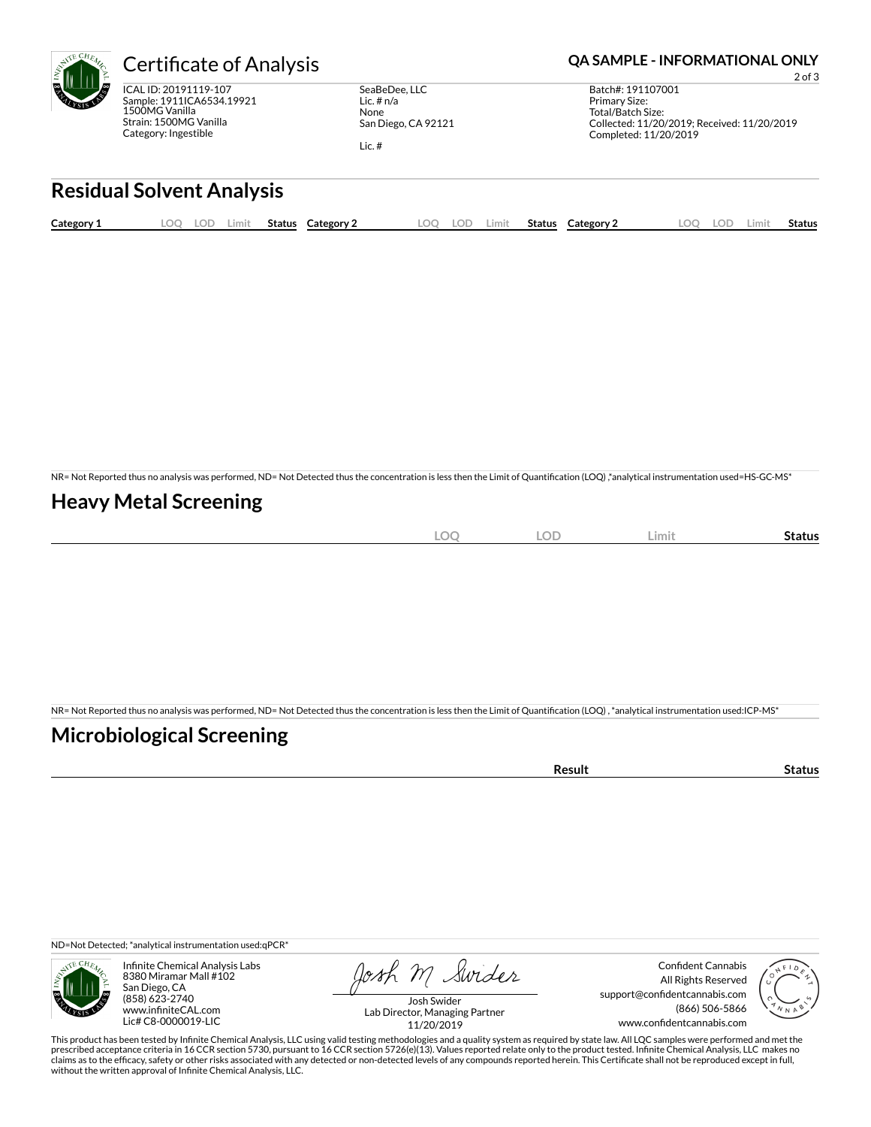

ICAL ID: 20191119-107 Sample: 1911ICA6534.19921 1500MG Vanilla Strain: 1500MG Vanilla Category: Ingestible

SeaBeDee, LLC Lic. # n/a None San Diego, CA 92121

Lic. #

#### Certificate of Analysis **Certificate of Analysis QA SAMPLE - INFORMATIONAL ONLY**

2 of 3 Batch#: 191107001 Primary Size: Total/Batch Size: Collected: 11/20/2019; Received: 11/20/2019 Completed: 11/20/2019

# **Residual Solvent Analysis**

| Category 1 | .OO | .OD | ∟imit | Status | Category 2 | OC | .imit | <b>Status</b> | Category 2 | LOC | .OD | ∠imit | Status |
|------------|-----|-----|-------|--------|------------|----|-------|---------------|------------|-----|-----|-------|--------|
|            |     |     |       |        |            |    |       |               |            |     |     |       |        |

NR= Not Reported thus no analysis was performed, ND= Not Detected thus the concentration is less then the Limit of Quantification (LOQ),\*analytical instrumentation used=HS-GC-MS\*

### **Heavy Metal Screening**

| ∽<br>м<br>$-$<br>$\sim$ | $\sim$ $\sim$<br>w<br>$\sim$ | Limi | Status |
|-------------------------|------------------------------|------|--------|
|                         |                              |      |        |

NR= Not Reported thus no analysis was performed, ND= Not Detected thus the concentration is less then the Limit of Quantification (LOQ), \*analytical instrumentation used:ICP-MS\*

### **Microbiological Screening**

| `≏sult |
|--------|
|--------|

ND=Not Detected; \*analytical instrumentation used:qPCR\*



Infinite Chemical Analysis Labs 8380 Miramar Mall #102 San Diego, CA (858) 623-2740 www.infiniteCAL.com Lic# C8-0000019-LIC

Josh M Swider

Confident Cannabis All Rights Reserved support@confidentcannabis.com (866) 506-5866 www.confidentcannabis.com



Josh Swider Lab Director, Managing Partner 11/20/2019

This product has been tested by Infinite Chemical Analysis, LLC using valid testing methodologies and a quality system as required by state law. All LQC samples were performed and met the prescribed acceptance criteria in 16 CCR section 5730, pursuant to 16 CCR section 5726(e)(13). Values reported relate only to the product tested. Infinite Chemical Analysis, LLC makes no<br>claims as to the efficacy, safety o without the written approval of Infinite Chemical Analysis, LLC.